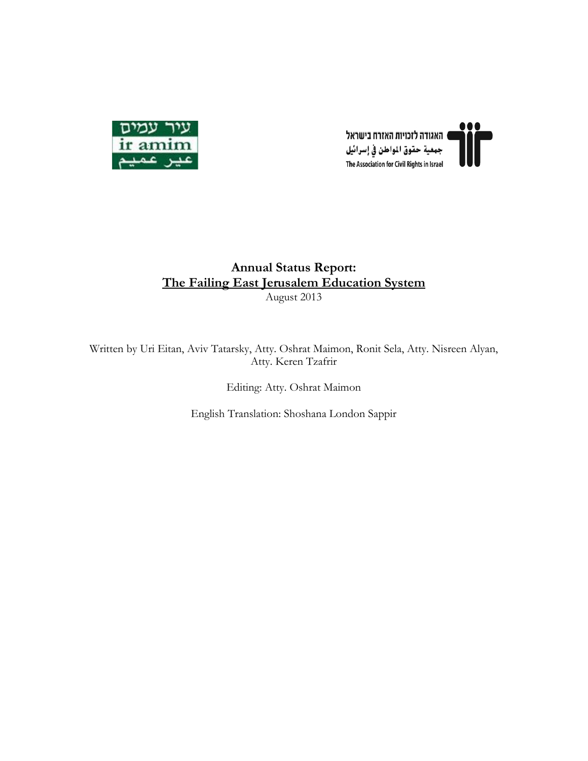



#### **Annual Status Report: The Failing East Jerusalem Education System** August 2013

Written by Uri Eitan, Aviv Tatarsky, Atty. Oshrat Maimon, Ronit Sela, Atty. Nisreen Alyan, Atty. Keren Tzafrir

Editing: Atty. Oshrat Maimon

English Translation: Shoshana London Sappir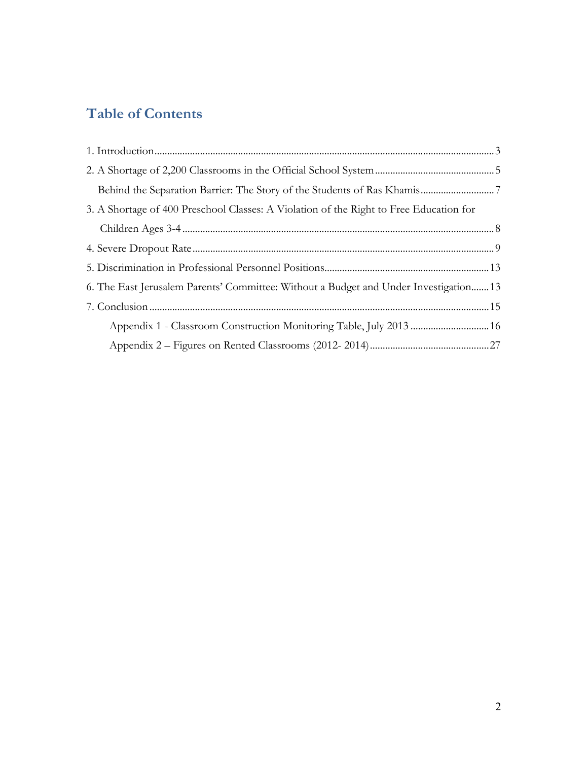# **Table of Contents**

| 3. A Shortage of 400 Preschool Classes: A Violation of the Right to Free Education for |  |
|----------------------------------------------------------------------------------------|--|
|                                                                                        |  |
|                                                                                        |  |
|                                                                                        |  |
| 6. The East Jerusalem Parents' Committee: Without a Budget and Under Investigation 13  |  |
|                                                                                        |  |
|                                                                                        |  |
|                                                                                        |  |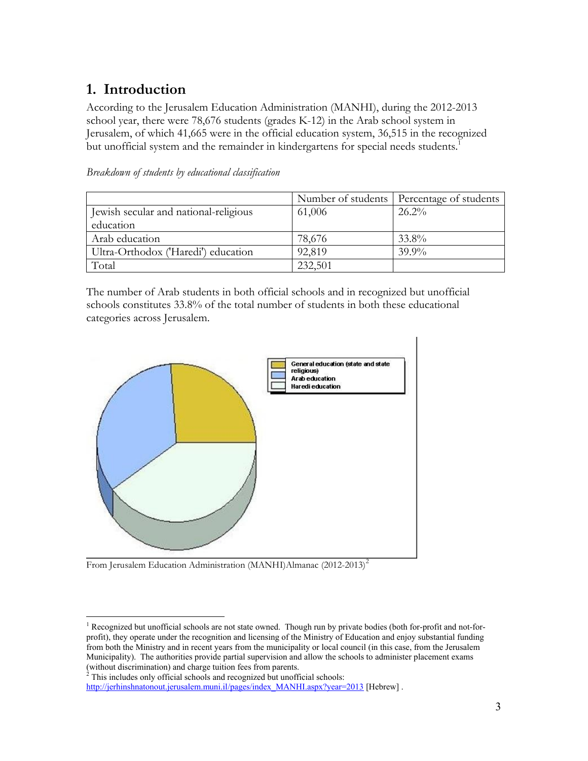## **1. Introduction**

According to the Jerusalem Education Administration (MANHI), during the 2012-2013 school year, there were 78,676 students (grades K-12) in the Arab school system in Jerusalem, of which 41,665 were in the official education system, 36,515 in the recognized but unofficial system and the remainder in kindergartens for special needs students.<sup>1</sup>

|                                       |         | Number of students   Percentage of students |
|---------------------------------------|---------|---------------------------------------------|
| Jewish secular and national-religious | 61,006  | $26.2\%$                                    |
| education                             |         |                                             |
| Arab education                        | 78,676  | 33.8%                                       |
| Ultra-Orthodox ('Haredi') education   | 92,819  | $39.9\%$                                    |
| Total                                 | 232,501 |                                             |

*Breakdown of students by educational classification*

The number of Arab students in both official schools and in recognized but unofficial schools constitutes 33.8% of the total number of students in both these educational categories across Jerusalem.



From Jerusalem Education Administration (MANHI)Almanac (2012-2013)<sup>2</sup>

<sup>&</sup>lt;sup>1</sup> Recognized but unofficial schools are not state owned. Though run by private bodies (both for-profit and not-forprofit), they operate under the recognition and licensing of the Ministry of Education and enjoy substantial funding from both the Ministry and in recent years from the municipality or local council (in this case, from the Jerusalem Municipality). The authorities provide partial supervision and allow the schools to administer placement exams (without discrimination) and charge tuition fees from parents.

 $^2$  This includes only official schools and recognized but unofficial schools:

http://jerhinshnatonout.jerusalem.muni.il/pages/index MANHI.aspx?year=2013 [Hebrew].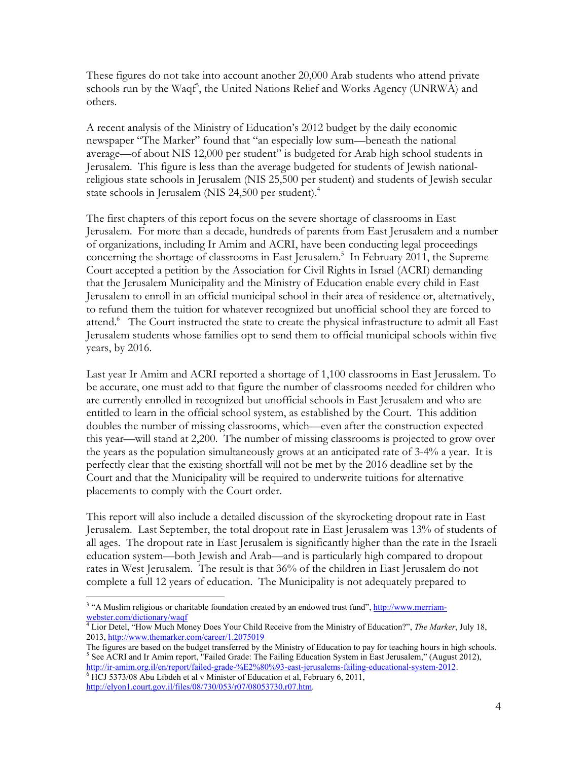These figures do not take into account another 20,000 Arab students who attend private schools run by the Waqf<sup>3</sup>, the United Nations Relief and Works Agency (UNRWA) and others.

A recent analysis of the Ministry of Education's 2012 budget by the daily economic newspaper "The Marker" found that "an especially low sum—beneath the national average—of about NIS 12,000 per student" is budgeted for Arab high school students in Jerusalem. This figure is less than the average budgeted for students of Jewish nationalreligious state schools in Jerusalem (NIS 25,500 per student) and students of Jewish secular state schools in Jerusalem (NIS 24,500 per student).<sup>4</sup>

The first chapters of this report focus on the severe shortage of classrooms in East Jerusalem. For more than a decade, hundreds of parents from East Jerusalem and a number of organizations, including Ir Amim and ACRI, have been conducting legal proceedings concerning the shortage of classrooms in East Jerusalem.<sup>5</sup> In February 2011, the Supreme Court accepted a petition by the Association for Civil Rights in Israel (ACRI) demanding that the Jerusalem Municipality and the Ministry of Education enable every child in East Jerusalem to enroll in an official municipal school in their area of residence or, alternatively, to refund them the tuition for whatever recognized but unofficial school they are forced to attend.<sup>6</sup> The Court instructed the state to create the physical infrastructure to admit all East Jerusalem students whose families opt to send them to official municipal schools within five years, by 2016.

Last year Ir Amim and ACRI reported a shortage of 1,100 classrooms in East Jerusalem. To be accurate, one must add to that figure the number of classrooms needed for children who are currently enrolled in recognized but unofficial schools in East Jerusalem and who are entitled to learn in the official school system, as established by the Court. This addition doubles the number of missing classrooms, which—even after the construction expected this year—will stand at 2,200. The number of missing classrooms is projected to grow over the years as the population simultaneously grows at an anticipated rate of 3-4% a year. It is perfectly clear that the existing shortfall will not be met by the 2016 deadline set by the Court and that the Municipality will be required to underwrite tuitions for alternative placements to comply with the Court order.

This report will also include a detailed discussion of the skyrocketing dropout rate in East Jerusalem. Last September, the total dropout rate in East Jerusalem was 13% of students of all ages. The dropout rate in East Jerusalem is significantly higher than the rate in the Israeli education system—both Jewish and Arab—and is particularly high compared to dropout rates in West Jerusalem. The result is that 36% of the children in East Jerusalem do not complete a full 12 years of education. The Municipality is not adequately prepared to

<sup>&</sup>lt;sup>3</sup> "A Muslim religious or charitable foundation created by an endowed trust fund", http://www.merriamwebster.com/dictionary/waqf

A Lior Detel, "How Much Money Does Your Child Receive from the Ministry of Education?", *The Marker*, July 18, 2013, http://www.themarker.com/career/1.2075019

The figures are based on the budget transferred by the Ministry of Education to pay for teaching hours in high schools. <sup>5</sup> See ACRI and Ir Amim report, "Failed Grade: The Failing Education System in East Jerusalem," (August 2012), http://ir-amim.org.il/en/report/failed-grade-%E2%80%93-east-jerusalems-failing-educational-system-2012.

 $\overline{6}$  HCJ 5373/08 Abu Libdeh et al v Minister of Education et al, February 6, 2011, http://elyon1.court.gov.il/files/08/730/053/r07/08053730.r07.htm.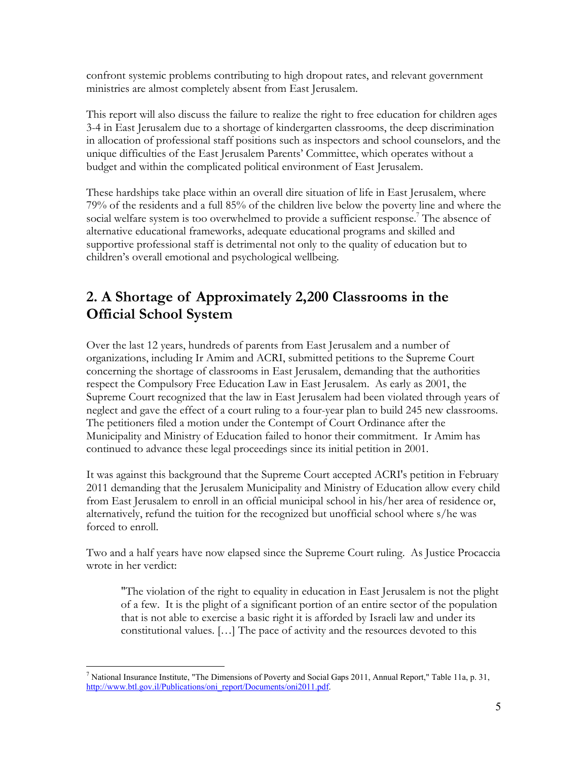confront systemic problems contributing to high dropout rates, and relevant government ministries are almost completely absent from East Jerusalem.

This report will also discuss the failure to realize the right to free education for children ages 3-4 in East Jerusalem due to a shortage of kindergarten classrooms, the deep discrimination in allocation of professional staff positions such as inspectors and school counselors, and the unique difficulties of the East Jerusalem Parents' Committee, which operates without a budget and within the complicated political environment of East Jerusalem.

These hardships take place within an overall dire situation of life in East Jerusalem, where 79% of the residents and a full 85% of the children live below the poverty line and where the social welfare system is too overwhelmed to provide a sufficient response.<sup>7</sup> The absence of alternative educational frameworks, adequate educational programs and skilled and supportive professional staff is detrimental not only to the quality of education but to children's overall emotional and psychological wellbeing.

## **2. A Shortage of Approximately 2,200 Classrooms in the Official School System**

Over the last 12 years, hundreds of parents from East Jerusalem and a number of organizations, including Ir Amim and ACRI, submitted petitions to the Supreme Court concerning the shortage of classrooms in East Jerusalem, demanding that the authorities respect the Compulsory Free Education Law in East Jerusalem. As early as 2001, the Supreme Court recognized that the law in East Jerusalem had been violated through years of neglect and gave the effect of a court ruling to a four-year plan to build 245 new classrooms. The petitioners filed a motion under the Contempt of Court Ordinance after the Municipality and Ministry of Education failed to honor their commitment. Ir Amim has continued to advance these legal proceedings since its initial petition in 2001.

It was against this background that the Supreme Court accepted ACRI's petition in February 2011 demanding that the Jerusalem Municipality and Ministry of Education allow every child from East Jerusalem to enroll in an official municipal school in his/her area of residence or, alternatively, refund the tuition for the recognized but unofficial school where s/he was forced to enroll.

Two and a half years have now elapsed since the Supreme Court ruling. As Justice Procaccia wrote in her verdict:

"The violation of the right to equality in education in East Jerusalem is not the plight of a few. It is the plight of a significant portion of an entire sector of the population that is not able to exercise a basic right it is afforded by Israeli law and under its constitutional values. […] The pace of activity and the resources devoted to this

<sup>################################################</sup> <sup>7</sup> National Insurance Institute, "The Dimensions of Poverty and Social Gaps 2011, Annual Report," Table 11a, p. 31, http://www.btl.gov.il/Publications/oni report/Documents/oni2011.pdf.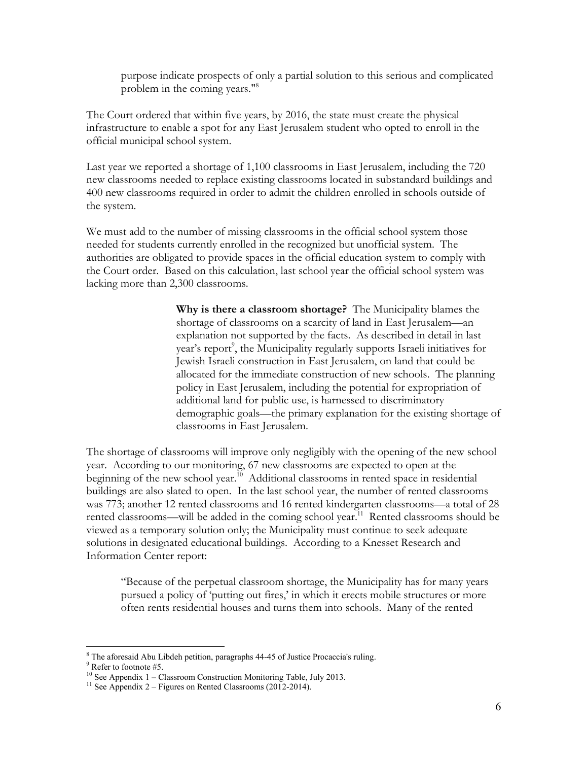purpose indicate prospects of only a partial solution to this serious and complicated problem in the coming years."8

The Court ordered that within five years, by 2016, the state must create the physical infrastructure to enable a spot for any East Jerusalem student who opted to enroll in the official municipal school system.

Last year we reported a shortage of 1,100 classrooms in East Jerusalem, including the 720 new classrooms needed to replace existing classrooms located in substandard buildings and 400 new classrooms required in order to admit the children enrolled in schools outside of the system.

We must add to the number of missing classrooms in the official school system those needed for students currently enrolled in the recognized but unofficial system. The authorities are obligated to provide spaces in the official education system to comply with the Court order. Based on this calculation, last school year the official school system was lacking more than 2,300 classrooms.

> **Why is there a classroom shortage?** The Municipality blames the shortage of classrooms on a scarcity of land in East Jerusalem—an explanation not supported by the facts. As described in detail in last year's report<sup>9</sup>, the Municipality regularly supports Israeli initiatives for Jewish Israeli construction in East Jerusalem, on land that could be allocated for the immediate construction of new schools. The planning policy in East Jerusalem, including the potential for expropriation of additional land for public use, is harnessed to discriminatory demographic goals—the primary explanation for the existing shortage of classrooms in East Jerusalem.

The shortage of classrooms will improve only negligibly with the opening of the new school year. According to our monitoring, 67 new classrooms are expected to open at the beginning of the new school year.<sup>10</sup> Additional classrooms in rented space in residential buildings are also slated to open. In the last school year, the number of rented classrooms was 773; another 12 rented classrooms and 16 rented kindergarten classrooms—a total of 28 rented classrooms—will be added in the coming school year.<sup>11</sup> Rented classrooms should be viewed as a temporary solution only; the Municipality must continue to seek adequate solutions in designated educational buildings. According to a Knesset Research and Information Center report:

"Because of the perpetual classroom shortage, the Municipality has for many years pursued a policy of 'putting out fires,' in which it erects mobile structures or more often rents residential houses and turns them into schools. Many of the rented

 $8$  The aforesaid Abu Libdeh petition, paragraphs 44-45 of Justice Procaccia's ruling.

<sup>&</sup>lt;sup>9</sup> Refer to footnote #5.<br><sup>10</sup> See Appendix 1 – Classroom Construction Monitoring Table, July 2013.

 $^{11}$  See Appendix 2 – Figures on Rented Classrooms (2012-2014).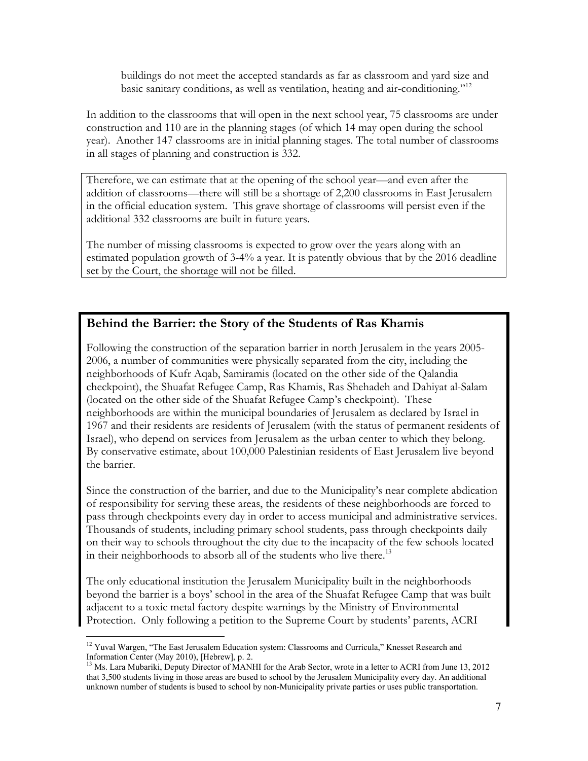buildings do not meet the accepted standards as far as classroom and yard size and basic sanitary conditions, as well as ventilation, heating and air-conditioning."<sup>12</sup>

In addition to the classrooms that will open in the next school year, 75 classrooms are under construction and 110 are in the planning stages (of which 14 may open during the school year). Another 147 classrooms are in initial planning stages. The total number of classrooms in all stages of planning and construction is 332.

Therefore, we can estimate that at the opening of the school year—and even after the addition of classrooms—there will still be a shortage of 2,200 classrooms in East Jerusalem in the official education system. This grave shortage of classrooms will persist even if the additional 332 classrooms are built in future years.

The number of missing classrooms is expected to grow over the years along with an estimated population growth of 3-4% a year. It is patently obvious that by the 2016 deadline set by the Court, the shortage will not be filled.

#### **Behind the Barrier: the Story of the Students of Ras Khamis**

Following the construction of the separation barrier in north Jerusalem in the years 2005- 2006, a number of communities were physically separated from the city, including the neighborhoods of Kufr Aqab, Samiramis (located on the other side of the Qalandia checkpoint), the Shuafat Refugee Camp, Ras Khamis, Ras Shehadeh and Dahiyat al-Salam (located on the other side of the Shuafat Refugee Camp's checkpoint). These neighborhoods are within the municipal boundaries of Jerusalem as declared by Israel in 1967 and their residents are residents of Jerusalem (with the status of permanent residents of Israel), who depend on services from Jerusalem as the urban center to which they belong. By conservative estimate, about 100,000 Palestinian residents of East Jerusalem live beyond the barrier.

Since the construction of the barrier, and due to the Municipality's near complete abdication of responsibility for serving these areas, the residents of these neighborhoods are forced to pass through checkpoints every day in order to access municipal and administrative services. Thousands of students, including primary school students, pass through checkpoints daily on their way to schools throughout the city due to the incapacity of the few schools located in their neighborhoods to absorb all of the students who live there.<sup>13</sup>

The only educational institution the Jerusalem Municipality built in the neighborhoods beyond the barrier is a boys' school in the area of the Shuafat Refugee Camp that was built adjacent to a toxic metal factory despite warnings by the Ministry of Environmental Protection. Only following a petition to the Supreme Court by students' parents, ACRI

<sup>&</sup>lt;sup>12</sup> Yuval Wargen, "The East Jerusalem Education system: Classrooms and Curricula," Knesset Research and Information Center (May 2010), [Hebrew], p. 2.

 $^{13}$  Ms. Lara Mubariki, Deputy Director of MANHI for the Arab Sector, wrote in a letter to ACRI from June 13, 2012 that 3,500 students living in those areas are bused to school by the Jerusalem Municipality every day. An additional unknown number of students is bused to school by non-Municipality private parties or uses public transportation.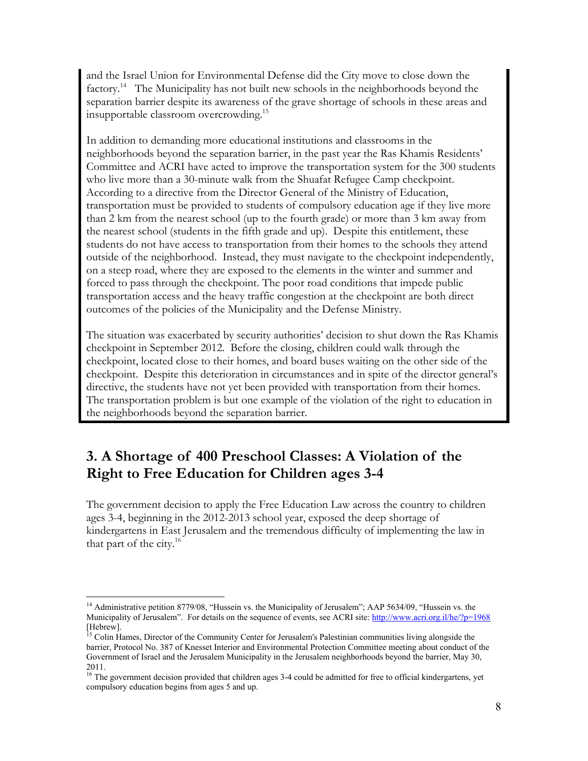and the Israel Union for Environmental Defense did the City move to close down the factory.<sup>14</sup> The Municipality has not built new schools in the neighborhoods beyond the separation barrier despite its awareness of the grave shortage of schools in these areas and insupportable classroom overcrowding.<sup>15</sup>

In addition to demanding more educational institutions and classrooms in the neighborhoods beyond the separation barrier, in the past year the Ras Khamis Residents' Committee and ACRI have acted to improve the transportation system for the 300 students who live more than a 30-minute walk from the Shuafat Refugee Camp checkpoint. According to a directive from the Director General of the Ministry of Education, transportation must be provided to students of compulsory education age if they live more than 2 km from the nearest school (up to the fourth grade) or more than 3 km away from the nearest school (students in the fifth grade and up). Despite this entitlement, these students do not have access to transportation from their homes to the schools they attend outside of the neighborhood. Instead, they must navigate to the checkpoint independently, on a steep road, where they are exposed to the elements in the winter and summer and forced to pass through the checkpoint. The poor road conditions that impede public transportation access and the heavy traffic congestion at the checkpoint are both direct outcomes of the policies of the Municipality and the Defense Ministry.

The situation was exacerbated by security authorities' decision to shut down the Ras Khamis checkpoint in September 2012. Before the closing, children could walk through the checkpoint, located close to their homes, and board buses waiting on the other side of the checkpoint. Despite this deterioration in circumstances and in spite of the director general's directive, the students have not yet been provided with transportation from their homes. The transportation problem is but one example of the violation of the right to education in the neighborhoods beyond the separation barrier.

## **3. A Shortage of 400 Preschool Classes: A Violation of the Right to Free Education for Children ages 3-4**

The government decision to apply the Free Education Law across the country to children ages 3-4, beginning in the 2012-2013 school year, exposed the deep shortage of kindergartens in East Jerusalem and the tremendous difficulty of implementing the law in that part of the city. $16$ 

<sup>&</sup>lt;sup>14</sup> Administrative petition 8779/08, "Hussein vs. the Municipality of Jerusalem"; AAP 5634/09, "Hussein vs. the Municipality of Jerusalem". For details on the sequence of events, see ACRI site: http://www.acri.org.il/he/?p=1968 [Hebrew].

 $<sup>15</sup>$  Colin Hames, Director of the Community Center for Jerusalem's Palestinian communities living alongside the</sup> barrier, Protocol No. 387 of Knesset Interior and Environmental Protection Committee meeting about conduct of the Government of Israel and the Jerusalem Municipality in the Jerusalem neighborhoods beyond the barrier, May 30, 2011.

 $^{16}$  The government decision provided that children ages 3-4 could be admitted for free to official kindergartens, yet compulsory education begins from ages 5 and up.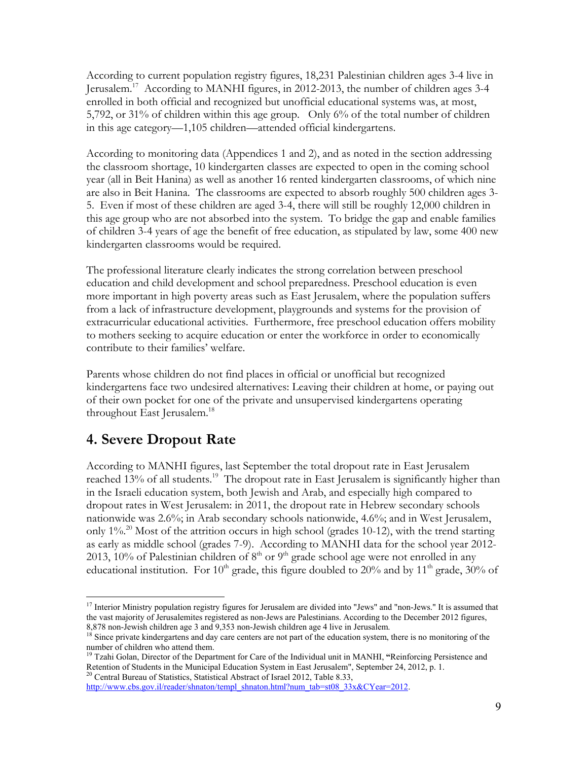According to current population registry figures, 18,231 Palestinian children ages 3-4 live in Jerusalem.17 According to MANHI figures, in 2012-2013, the number of children ages 3-4 enrolled in both official and recognized but unofficial educational systems was, at most, 5,792, or 31% of children within this age group. Only 6% of the total number of children in this age category—1,105 children—attended official kindergartens.

According to monitoring data (Appendices 1 and 2), and as noted in the section addressing the classroom shortage, 10 kindergarten classes are expected to open in the coming school year (all in Beit Hanina) as well as another 16 rented kindergarten classrooms, of which nine are also in Beit Hanina. The classrooms are expected to absorb roughly 500 children ages 3- 5. Even if most of these children are aged 3-4, there will still be roughly 12,000 children in this age group who are not absorbed into the system. To bridge the gap and enable families of children 3-4 years of age the benefit of free education, as stipulated by law, some 400 new kindergarten classrooms would be required.

The professional literature clearly indicates the strong correlation between preschool education and child development and school preparedness. Preschool education is even more important in high poverty areas such as East Jerusalem, where the population suffers from a lack of infrastructure development, playgrounds and systems for the provision of extracurricular educational activities. Furthermore, free preschool education offers mobility to mothers seeking to acquire education or enter the workforce in order to economically contribute to their families' welfare.

Parents whose children do not find places in official or unofficial but recognized kindergartens face two undesired alternatives: Leaving their children at home, or paying out of their own pocket for one of the private and unsupervised kindergartens operating throughout East Jerusalem.<sup>18</sup>

### **4. Severe Dropout Rate**

################################################

According to MANHI figures, last September the total dropout rate in East Jerusalem reached 13% of all students.<sup>19</sup> The dropout rate in East Jerusalem is significantly higher than in the Israeli education system, both Jewish and Arab, and especially high compared to dropout rates in West Jerusalem: in 2011, the dropout rate in Hebrew secondary schools nationwide was 2.6%; in Arab secondary schools nationwide, 4.6%; and in West Jerusalem, only  $1\%$ <sup>20</sup> Most of the attrition occurs in high school (grades 10-12), with the trend starting as early as middle school (grades 7-9). According to MANHI data for the school year 2012- 2013, 10% of Palestinian children of  $8<sup>th</sup>$  or  $9<sup>th</sup>$  grade school age were not enrolled in any educational institution. For 10<sup>th</sup> grade, this figure doubled to 20% and by 11<sup>th</sup> grade, 30% of

http://www.cbs.gov.il/reader/shnaton/templ\_shnaton.html?num\_tab=st08\_33x&CYear=2012.

 $^{17}$  Interior Ministry population registry figures for Jerusalem are divided into "Jews" and "non-Jews." It is assumed that the vast majority of Jerusalemites registered as non-Jews are Palestinians. According to the December 2012 figures,  $8,878$  non-Jewish children age 3 and  $9,353$  non-Jewish children age 4 live in Jerusalem.

 $^{18}$  Since private kindergartens and day care centers are not part of the education system, there is no monitoring of the number of children who attend them.

<sup>&</sup>lt;sup>19</sup> Tzahi Golan, Director of the Department for Care of the Individual unit in MANHI, "Reinforcing Persistence and Retention of Students in the Municipal Education System in East Jerusalem", September 24, 2012, p. 1.  $20$  Central Bureau of Statistics, Statistical Abstract of Israel 2012, Table 8.33,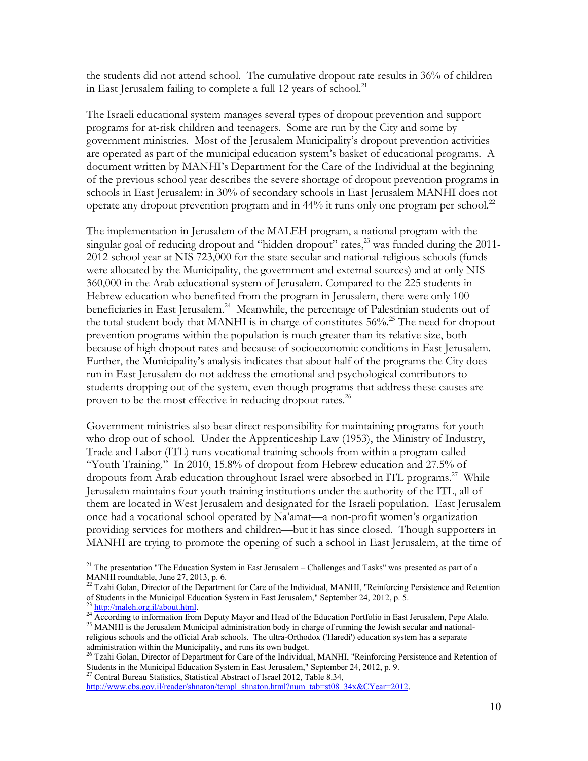the students did not attend school. The cumulative dropout rate results in 36% of children in East Jerusalem failing to complete a full 12 years of school.<sup>21</sup>

The Israeli educational system manages several types of dropout prevention and support programs for at-risk children and teenagers. Some are run by the City and some by government ministries. Most of the Jerusalem Municipality's dropout prevention activities are operated as part of the municipal education system's basket of educational programs. A document written by MANHI's Department for the Care of the Individual at the beginning of the previous school year describes the severe shortage of dropout prevention programs in schools in East Jerusalem: in 30% of secondary schools in East Jerusalem MANHI does not operate any dropout prevention program and in 44% it runs only one program per school.<sup>22</sup>

The implementation in Jerusalem of the MALEH program, a national program with the singular goal of reducing dropout and "hidden dropout" rates, $^{23}$  was funded during the 2011-2012 school year at NIS 723,000 for the state secular and national-religious schools (funds were allocated by the Municipality, the government and external sources) and at only NIS 360,000 in the Arab educational system of Jerusalem. Compared to the 225 students in Hebrew education who benefited from the program in Jerusalem, there were only 100 beneficiaries in East Jerusalem.<sup>24</sup> Meanwhile, the percentage of Palestinian students out of the total student body that MANHI is in charge of constitutes  $56\%$ <sup>25</sup> The need for dropout prevention programs within the population is much greater than its relative size, both because of high dropout rates and because of socioeconomic conditions in East Jerusalem. Further, the Municipality's analysis indicates that about half of the programs the City does run in East Jerusalem do not address the emotional and psychological contributors to students dropping out of the system, even though programs that address these causes are proven to be the most effective in reducing dropout rates. $^{26}$ 

Government ministries also bear direct responsibility for maintaining programs for youth who drop out of school. Under the Apprenticeship Law (1953), the Ministry of Industry, Trade and Labor (ITL) runs vocational training schools from within a program called "Youth Training." In 2010, 15.8% of dropout from Hebrew education and 27.5% of dropouts from Arab education throughout Israel were absorbed in ITL programs.<sup>27</sup> While Jerusalem maintains four youth training institutions under the authority of the ITL, all of them are located in West Jerusalem and designated for the Israeli population. East Jerusalem once had a vocational school operated by Na'amat—a non-profit women's organization providing services for mothers and children—but it has since closed. Though supporters in MANHI are trying to promote the opening of such a school in East Jerusalem, at the time of

<sup>27</sup> Central Bureau Statistics, Statistical Abstract of Israel 2012, Table 8.34,

<sup>&</sup>lt;sup>21</sup> The presentation "The Education System in East Jerusalem - Challenges and Tasks" was presented as part of a MANHI roundtable, June 27, 2013, p. 6.

<sup>&</sup>lt;sup>22</sup> Tzahi Golan, Director of the Department for Care of the Individual, MANHI, "Reinforcing Persistence and Retention of Students in the Municipal Education System in East Jerusalem," September 24, 2012, p. 5.<br><sup>23</sup> http://maleh.org.il/about.html.

<sup>&</sup>lt;sup>24</sup> According to information from Deputy Mayor and Head of the Education Portfolio in East Jerusalem, Pepe Alalo.<br><sup>25</sup> MANHI is the Jerusalem Municipal administration body in charge of running the Jewish secular and natio religious schools and the official Arab schools. The ultra-Orthodox ('Haredi') education system has a separate administration within the Municipality, and runs its own budget.

<sup>&</sup>lt;sup>26</sup> Tzahi Golan, Director of Department for Care of the Individual, MANHI, "Reinforcing Persistence and Retention of Students in the Municipal Education System in East Jerusalem," September 24, 2012, p. 9.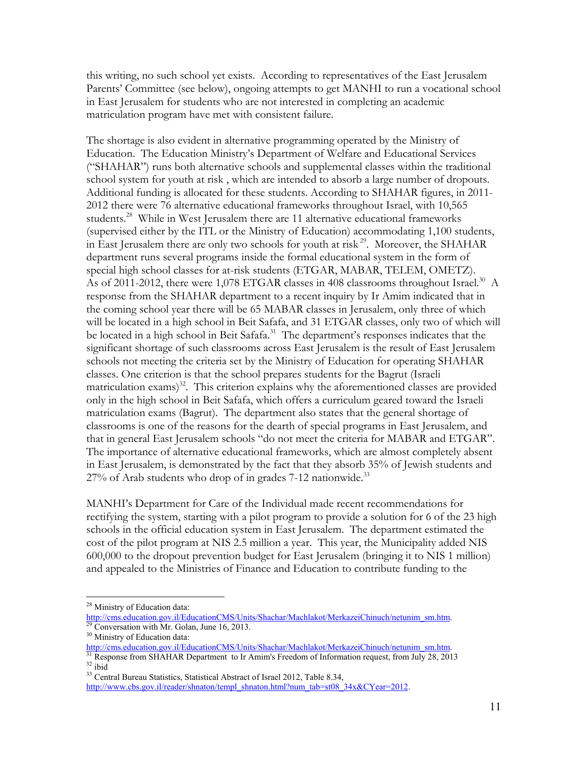this writing, no such school yet exists. According to representatives of the East Jerusalem Parents' Committee (see below), ongoing attempts to get MANHI to run a vocational school in East Jerusalem for students who are not interested in completing an academic matriculation program have met with consistent failure.

The shortage is also evident in alternative programming operated by the Ministry of Education. The Education Ministry's Department of Welfare and Educational Services ("SHAHAR") runs both alternative schools and supplemental classes within the traditional school system for youth at risk , which are intended to absorb a large number of dropouts. Additional funding is allocated for these students. According to SHAHAR figures, in 2011- 2012 there were 76 alternative educational frameworks throughout Israel, with 10,565 students.<sup>28</sup> While in West Jerusalem there are 11 alternative educational frameworks (supervised either by the ITL or the Ministry of Education) accommodating 1,100 students, in East Jerusalem there are only two schools for youth at risk 29. Moreover, the SHAHAR department runs several programs inside the formal educational system in the form of special high school classes for at-risk students (ETGAR, MABAR, TELEM, OMETZ). As of 2011-2012, there were 1,078 ETGAR classes in 408 classrooms throughout Israel.<sup>30</sup> A response from the SHAHAR department to a recent inquiry by Ir Amim indicated that in the coming school year there will be 65 MABAR classes in Jerusalem, only three of which will be located in a high school in Beit Safafa, and 31 ETGAR classes, only two of which will be located in a high school in Beit Safafa.<sup>31</sup> The department's responses indicates that the significant shortage of such classrooms across East Jerusalem is the result of East Jerusalem schools not meeting the criteria set by the Ministry of Education for operating SHAHAR classes. One criterion is that the school prepares students for the Bagrut (Israeli matriculation exams)<sup>32</sup>. This criterion explains why the aforementioned classes are provided only in the high school in Beit Safafa, which offers a curriculum geared toward the Israeli matriculation exams (Bagrut). The department also states that the general shortage of classrooms is one of the reasons for the dearth of special programs in East Jerusalem, and that in general East Jerusalem schools "do not meet the criteria for MABAR and ETGAR". The importance of alternative educational frameworks, which are almost completely absent in East Jerusalem, is demonstrated by the fact that they absorb 35% of Jewish students and  $27\%$  of Arab students who drop of in grades 7-12 nationwide.<sup>33</sup>

MANHI's Department for Care of the Individual made recent recommendations for rectifying the system, starting with a pilot program to provide a solution for 6 of the 23 high schools in the official education system in East Jerusalem. The department estimated the cost of the pilot program at NIS 2.5 million a year. This year, the Municipality added NIS 600,000 to the dropout prevention budget for East Jerusalem (bringing it to NIS 1 million) and appealed to the Ministries of Finance and Education to contribute funding to the

 $^{28}$  Ministry of Education data:

http://cms.education.gov.il/EducationCMS/Units/Shachar/Machlakot/MerkazeiChinuch/netunim\_sm.htm.<br><sup>29</sup> Conversation with Mr. Golan, June 16, 2013.<br><sup>30</sup> Ministry of Education data:

 $\frac{http://cms.education.gov.i//EducationCMS/Units/Shachar/Machlakot/MerkazeiChinuch/netunim_sm.htm. 31}$  Response from SHAHAR Department to Ir Amim's Freedom of Information request, from July 28, 2013<br><sup>32</sup> ibid<br><sup>33</sup> Central Bureau Statistics, Statistical Abstract of Israel 2012

http://www.cbs.gov.il/reader/shnaton/templ\_shnaton.html?num\_tab=st08\_34x&CYear=2012.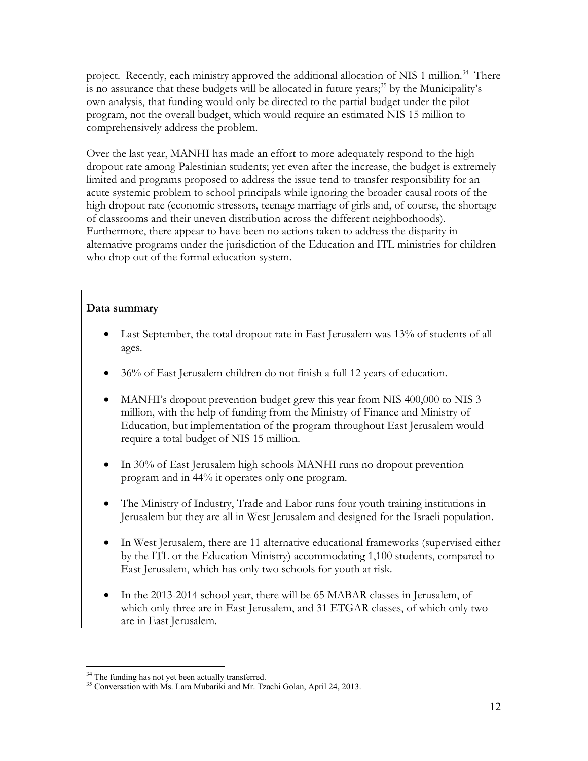project. Recently, each ministry approved the additional allocation of NIS 1 million.<sup>34</sup> There is no assurance that these budgets will be allocated in future years; $35$  by the Municipality's own analysis, that funding would only be directed to the partial budget under the pilot program, not the overall budget, which would require an estimated NIS 15 million to comprehensively address the problem.

Over the last year, MANHI has made an effort to more adequately respond to the high dropout rate among Palestinian students; yet even after the increase, the budget is extremely limited and programs proposed to address the issue tend to transfer responsibility for an acute systemic problem to school principals while ignoring the broader causal roots of the high dropout rate (economic stressors, teenage marriage of girls and, of course, the shortage of classrooms and their uneven distribution across the different neighborhoods). Furthermore, there appear to have been no actions taken to address the disparity in alternative programs under the jurisdiction of the Education and ITL ministries for children who drop out of the formal education system.

#### **Data summary**

- $\bullet$  Last September, the total dropout rate in East Jerusalem was 13% of students of all ages.
- 36% of East Jerusalem children do not finish a full 12 years of education.
- MANHI's dropout prevention budget grew this year from NIS 400,000 to NIS 3 million, with the help of funding from the Ministry of Finance and Ministry of Education, but implementation of the program throughout East Jerusalem would require a total budget of NIS 15 million.
- In 30% of East Jerusalem high schools MANHI runs no dropout prevention program and in 44% it operates only one program.
- The Ministry of Industry, Trade and Labor runs four youth training institutions in Jerusalem but they are all in West Jerusalem and designed for the Israeli population.
- In West Jerusalem, there are 11 alternative educational frameworks (supervised either by the ITL or the Education Ministry) accommodating 1,100 students, compared to East Jerusalem, which has only two schools for youth at risk.
- In the 2013-2014 school year, there will be 65 MABAR classes in Jerusalem, of which only three are in East Jerusalem, and 31 ETGAR classes, of which only two are in East Jerusalem.

 $34$  The funding has not yet been actually transferred.

<sup>&</sup>lt;sup>35</sup> Conversation with Ms. Lara Mubariki and Mr. Tzachi Golan, April 24, 2013.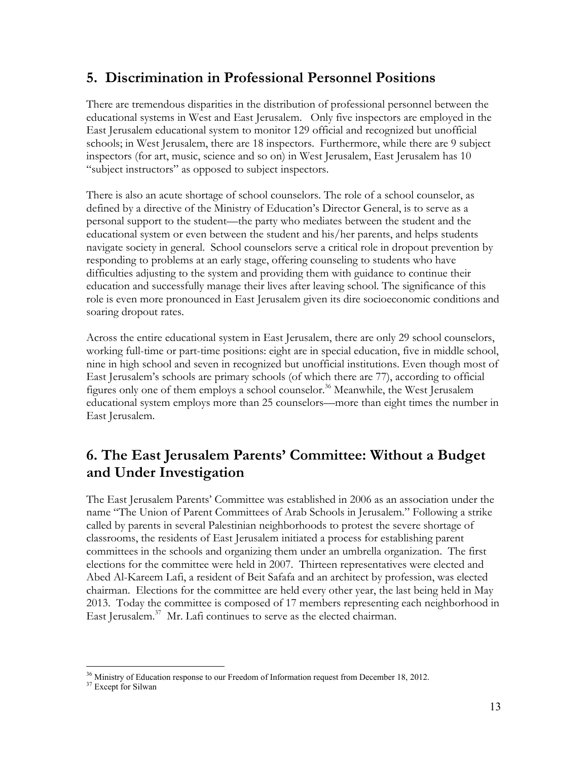### **5. Discrimination in Professional Personnel Positions**

There are tremendous disparities in the distribution of professional personnel between the educational systems in West and East Jerusalem. Only five inspectors are employed in the East Jerusalem educational system to monitor 129 official and recognized but unofficial schools; in West Jerusalem, there are 18 inspectors. Furthermore, while there are 9 subject inspectors (for art, music, science and so on) in West Jerusalem, East Jerusalem has 10 "subject instructors" as opposed to subject inspectors.

There is also an acute shortage of school counselors. The role of a school counselor, as defined by a directive of the Ministry of Education's Director General, is to serve as a personal support to the student—the party who mediates between the student and the educational system or even between the student and his/her parents, and helps students navigate society in general. School counselors serve a critical role in dropout prevention by responding to problems at an early stage, offering counseling to students who have difficulties adjusting to the system and providing them with guidance to continue their education and successfully manage their lives after leaving school. The significance of this role is even more pronounced in East Jerusalem given its dire socioeconomic conditions and soaring dropout rates.

Across the entire educational system in East Jerusalem, there are only 29 school counselors, working full-time or part-time positions: eight are in special education, five in middle school, nine in high school and seven in recognized but unofficial institutions. Even though most of East Jerusalem's schools are primary schools (of which there are 77), according to official figures only one of them employs a school counselor.<sup>36</sup> Meanwhile, the West Jerusalem educational system employs more than 25 counselors—more than eight times the number in East Jerusalem.

## **6. The East Jerusalem Parents' Committee: Without a Budget and Under Investigation**

The East Jerusalem Parents' Committee was established in 2006 as an association under the name "The Union of Parent Committees of Arab Schools in Jerusalem." Following a strike called by parents in several Palestinian neighborhoods to protest the severe shortage of classrooms, the residents of East Jerusalem initiated a process for establishing parent committees in the schools and organizing them under an umbrella organization. The first elections for the committee were held in 2007. Thirteen representatives were elected and Abed Al-Kareem Lafi, a resident of Beit Safafa and an architect by profession, was elected chairman. Elections for the committee are held every other year, the last being held in May 2013. Today the committee is composed of 17 members representing each neighborhood in East Jerusalem. $37$  Mr. Lafi continues to serve as the elected chairman.

<sup>&</sup>lt;sup>36</sup> Ministry of Education response to our Freedom of Information request from December 18, 2012.<br><sup>37</sup> Except for Silwan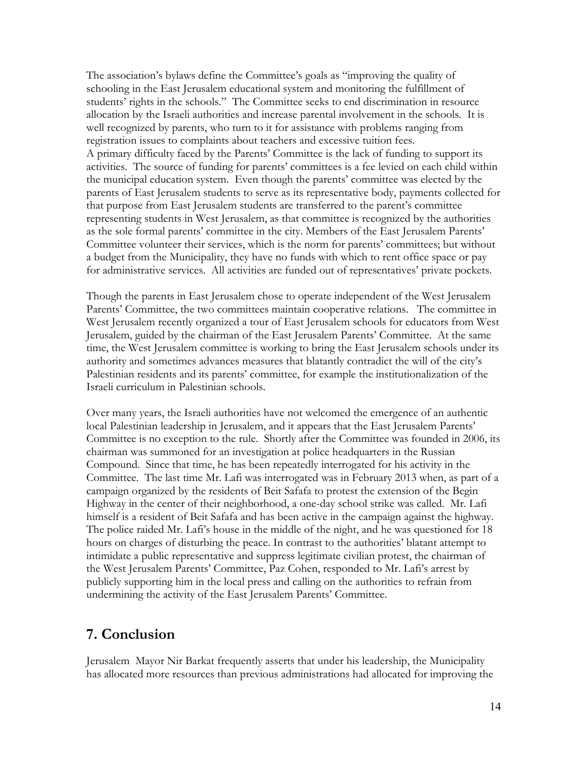The association's bylaws define the Committee's goals as "improving the quality of schooling in the East Jerusalem educational system and monitoring the fulfillment of students' rights in the schools." The Committee seeks to end discrimination in resource allocation by the Israeli authorities and increase parental involvement in the schools. It is well recognized by parents, who turn to it for assistance with problems ranging from registration issues to complaints about teachers and excessive tuition fees. A primary difficulty faced by the Parents' Committee is the lack of funding to support its activities. The source of funding for parents' committees is a fee levied on each child within the municipal education system. Even though the parents' committee was elected by the parents of East Jerusalem students to serve as its representative body, payments collected for that purpose from East Jerusalem students are transferred to the parent's committee representing students in West Jerusalem, as that committee is recognized by the authorities as the sole formal parents' committee in the city. Members of the East Jerusalem Parents' Committee volunteer their services, which is the norm for parents' committees; but without a budget from the Municipality, they have no funds with which to rent office space or pay for administrative services. All activities are funded out of representatives' private pockets.

Though the parents in East Jerusalem chose to operate independent of the West Jerusalem Parents' Committee, the two committees maintain cooperative relations. The committee in West Jerusalem recently organized a tour of East Jerusalem schools for educators from West Jerusalem, guided by the chairman of the East Jerusalem Parents' Committee. At the same time, the West Jerusalem committee is working to bring the East Jerusalem schools under its authority and sometimes advances measures that blatantly contradict the will of the city's Palestinian residents and its parents' committee, for example the institutionalization of the Israeli curriculum in Palestinian schools.

Over many years, the Israeli authorities have not welcomed the emergence of an authentic local Palestinian leadership in Jerusalem, and it appears that the East Jerusalem Parents' Committee is no exception to the rule. Shortly after the Committee was founded in 2006, its chairman was summoned for an investigation at police headquarters in the Russian Compound. Since that time, he has been repeatedly interrogated for his activity in the Committee. The last time Mr. Lafi was interrogated was in February 2013 when, as part of a campaign organized by the residents of Beit Safafa to protest the extension of the Begin Highway in the center of their neighborhood, a one-day school strike was called. Mr. Lafi himself is a resident of Beit Safafa and has been active in the campaign against the highway. The police raided Mr. Lafi's house in the middle of the night, and he was questioned for 18 hours on charges of disturbing the peace. In contrast to the authorities' blatant attempt to intimidate a public representative and suppress legitimate civilian protest, the chairman of the West Jerusalem Parents' Committee, Paz Cohen, responded to Mr. Lafi's arrest by publicly supporting him in the local press and calling on the authorities to refrain from undermining the activity of the East Jerusalem Parents' Committee.

### **7. Conclusion**

Jerusalem Mayor Nir Barkat frequently asserts that under his leadership, the Municipality has allocated more resources than previous administrations had allocated for improving the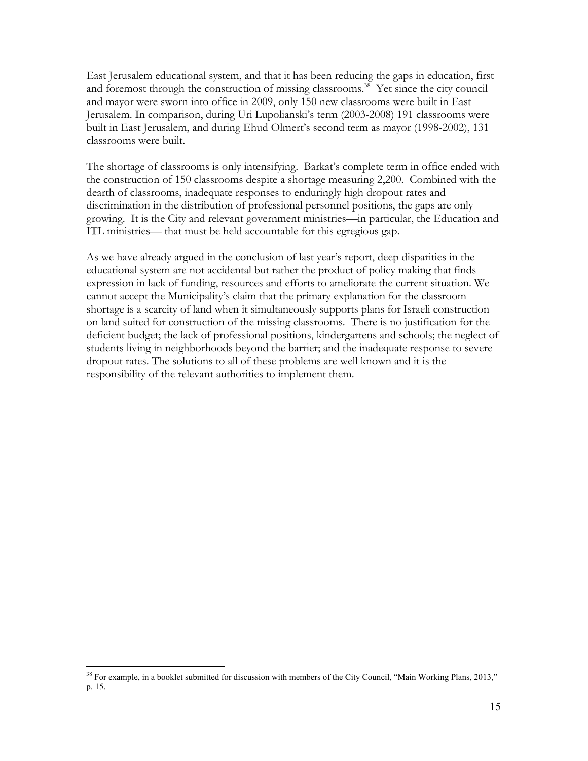East Jerusalem educational system, and that it has been reducing the gaps in education, first and foremost through the construction of missing classrooms.<sup>38</sup> Yet since the city council and mayor were sworn into office in 2009, only 150 new classrooms were built in East Jerusalem. In comparison, during Uri Lupolianski's term (2003-2008) 191 classrooms were built in East Jerusalem, and during Ehud Olmert's second term as mayor (1998-2002), 131 classrooms were built.

The shortage of classrooms is only intensifying. Barkat's complete term in office ended with the construction of 150 classrooms despite a shortage measuring 2,200. Combined with the dearth of classrooms, inadequate responses to enduringly high dropout rates and discrimination in the distribution of professional personnel positions, the gaps are only growing. It is the City and relevant government ministries—in particular, the Education and ITL ministries— that must be held accountable for this egregious gap.

As we have already argued in the conclusion of last year's report, deep disparities in the educational system are not accidental but rather the product of policy making that finds expression in lack of funding, resources and efforts to ameliorate the current situation. We cannot accept the Municipality's claim that the primary explanation for the classroom shortage is a scarcity of land when it simultaneously supports plans for Israeli construction on land suited for construction of the missing classrooms. There is no justification for the deficient budget; the lack of professional positions, kindergartens and schools; the neglect of students living in neighborhoods beyond the barrier; and the inadequate response to severe dropout rates. The solutions to all of these problems are well known and it is the responsibility of the relevant authorities to implement them.

<sup>&</sup>lt;sup>38</sup> For example, in a booklet submitted for discussion with members of the City Council, "Main Working Plans, 2013," p. 15.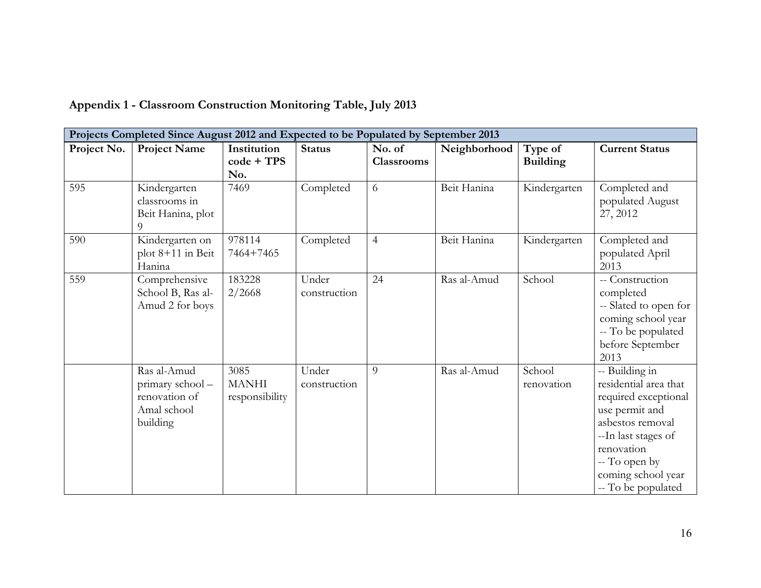| Projects Completed Since August 2012 and Expected to be Populated by September 2013 |                                                                             |                                        |                       |                             |              |                            |                                                                                                                                                                                                         |  |  |  |
|-------------------------------------------------------------------------------------|-----------------------------------------------------------------------------|----------------------------------------|-----------------------|-----------------------------|--------------|----------------------------|---------------------------------------------------------------------------------------------------------------------------------------------------------------------------------------------------------|--|--|--|
| Project No.                                                                         | <b>Project Name</b>                                                         | Institution<br>$code + TPS$<br>No.     | <b>Status</b>         | No. of<br><b>Classrooms</b> | Neighborhood | Type of<br><b>Building</b> | <b>Current Status</b>                                                                                                                                                                                   |  |  |  |
| 595                                                                                 | Kindergarten<br>classrooms in<br>Beit Hanina, plot<br>9                     | 7469                                   | Completed             | 6                           | Beit Hanina  | Kindergarten               | Completed and<br>populated August<br>27, 2012                                                                                                                                                           |  |  |  |
| 590                                                                                 | Kindergarten on<br>plot 8+11 in Beit<br>Hanina                              | 978114<br>7464+7465                    | Completed             | $\overline{4}$              | Beit Hanina  | Kindergarten               | Completed and<br>populated April<br>2013                                                                                                                                                                |  |  |  |
| 559                                                                                 | Comprehensive<br>School B, Ras al-<br>Amud 2 for boys                       | 183228<br>2/2668                       | Under<br>construction | 24                          | Ras al-Amud  | School                     | -- Construction<br>completed<br>-- Slated to open for<br>coming school year<br>-- To be populated<br>before September<br>2013                                                                           |  |  |  |
|                                                                                     | Ras al-Amud<br>primary school -<br>renovation of<br>Amal school<br>building | 3085<br><b>MANHI</b><br>responsibility | Under<br>construction | 9                           | Ras al-Amud  | School<br>renovation       | -- Building in<br>residential area that<br>required exceptional<br>use permit and<br>asbestos removal<br>--In last stages of<br>renovation<br>-- To open by<br>coming school year<br>-- To be populated |  |  |  |

# **Appendix 1 - Classroom Construction Monitoring Table, July 2013**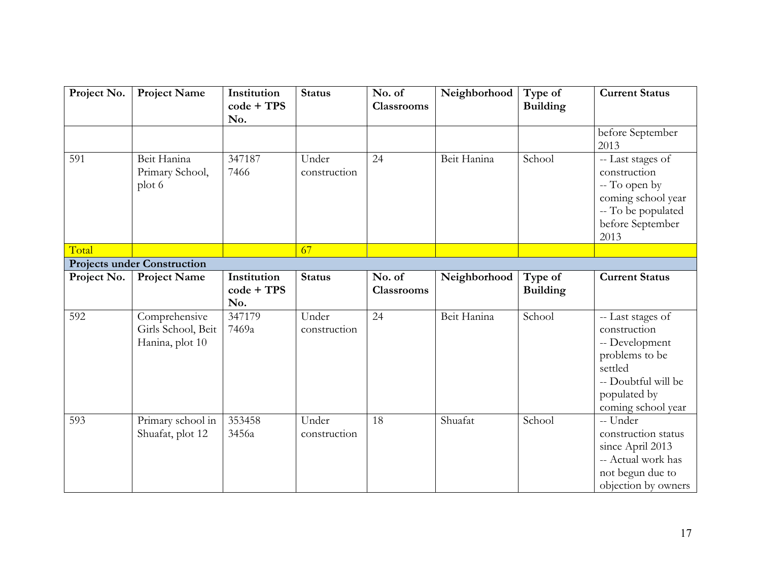| Project No. | <b>Project Name</b>                                    | Institution<br>$code + TPS$<br>No. | <b>Status</b>         | No. of<br><b>Classrooms</b> | Neighborhood | Type of<br><b>Building</b> | <b>Current Status</b>                                                                                                                         |
|-------------|--------------------------------------------------------|------------------------------------|-----------------------|-----------------------------|--------------|----------------------------|-----------------------------------------------------------------------------------------------------------------------------------------------|
|             |                                                        |                                    |                       |                             |              |                            | before September<br>2013                                                                                                                      |
| 591         | Beit Hanina<br>Primary School,<br>plot 6               | 347187<br>7466                     | Under<br>construction | 24                          | Beit Hanina  | School                     | -- Last stages of<br>construction<br>-- To open by<br>coming school year<br>-- To be populated<br>before September<br>2013                    |
| Total       |                                                        |                                    | 67                    |                             |              |                            |                                                                                                                                               |
|             | <b>Projects under Construction</b>                     |                                    |                       |                             |              |                            |                                                                                                                                               |
| Project No. | <b>Project Name</b>                                    | Institution<br>$code + TPS$<br>No. | <b>Status</b>         | No. of<br><b>Classrooms</b> | Neighborhood | Type of<br><b>Building</b> | <b>Current Status</b>                                                                                                                         |
| 592         | Comprehensive<br>Girls School, Beit<br>Hanina, plot 10 | 347179<br>7469a                    | Under<br>construction | 24                          | Beit Hanina  | School                     | -- Last stages of<br>construction<br>-- Development<br>problems to be<br>settled<br>-- Doubtful will be<br>populated by<br>coming school year |
| 593         | Primary school in<br>Shuafat, plot 12                  | 353458<br>3456a                    | Under<br>construction | 18                          | Shuafat      | School                     | -- Under<br>construction status<br>since April 2013<br>-- Actual work has<br>not begun due to<br>objection by owners                          |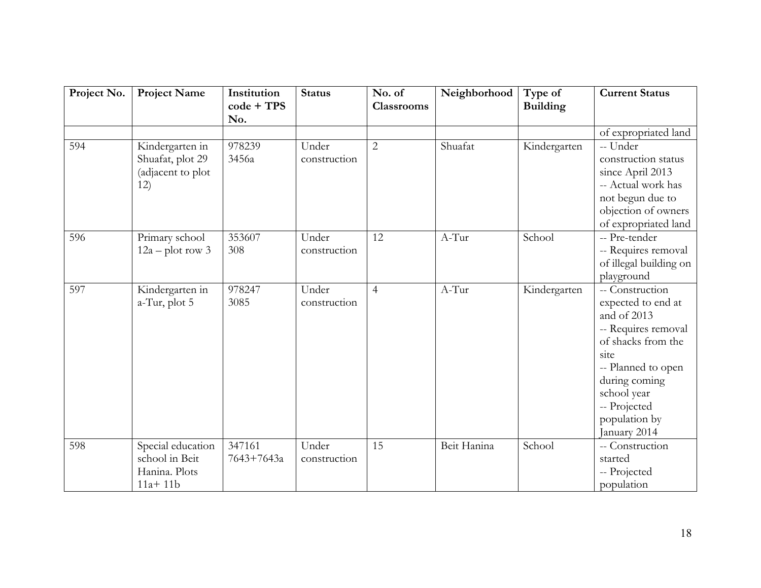| Project No. | <b>Project Name</b>                                                 | Institution<br>$code + TPS$<br>No. | <b>Status</b>         | No. of<br><b>Classrooms</b> | Neighborhood | Type of<br><b>Building</b> | <b>Current Status</b>                                                                                                                                                                                            |
|-------------|---------------------------------------------------------------------|------------------------------------|-----------------------|-----------------------------|--------------|----------------------------|------------------------------------------------------------------------------------------------------------------------------------------------------------------------------------------------------------------|
|             |                                                                     |                                    |                       |                             |              |                            | of expropriated land                                                                                                                                                                                             |
| 594         | Kindergarten in<br>Shuafat, plot 29<br>(adjacent to plot<br>12)     | 978239<br>3456a                    | Under<br>construction | $\overline{2}$              | Shuafat      | Kindergarten               | -- Under<br>construction status<br>since April 2013<br>-- Actual work has<br>not begun due to<br>objection of owners<br>of expropriated land                                                                     |
| 596         | Primary school<br>$12a$ – plot row 3                                | 353607<br>308                      | Under<br>construction | 12                          | $A-Tur$      | School                     | -- Pre-tender<br>-- Requires removal<br>of illegal building on<br>playground                                                                                                                                     |
| 597         | Kindergarten in<br>a-Tur, plot 5                                    | 978247<br>3085                     | Under<br>construction | $\overline{4}$              | A-Tur        | Kindergarten               | -- Construction<br>expected to end at<br>and of 2013<br>-- Requires removal<br>of shacks from the<br>site<br>-- Planned to open<br>during coming<br>school year<br>-- Projected<br>population by<br>January 2014 |
| 598         | Special education<br>school in Beit<br>Hanina. Plots<br>$11a + 11b$ | 347161<br>7643+7643a               | Under<br>construction | 15                          | Beit Hanina  | School                     | -- Construction<br>started<br>-- Projected<br>population                                                                                                                                                         |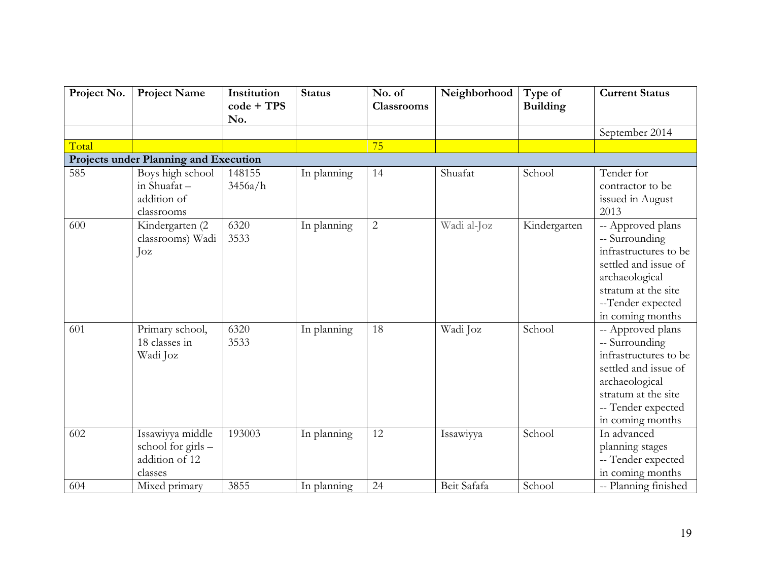| Project No.                           | <b>Project Name</b>                                                 | Institution<br>$code + TPS$<br>No. | <b>Status</b> | No. of<br><b>Classrooms</b> | Neighborhood | Type of<br><b>Building</b> | <b>Current Status</b>                                                                                                                                                   |  |  |  |  |
|---------------------------------------|---------------------------------------------------------------------|------------------------------------|---------------|-----------------------------|--------------|----------------------------|-------------------------------------------------------------------------------------------------------------------------------------------------------------------------|--|--|--|--|
|                                       |                                                                     |                                    |               |                             |              |                            | September 2014                                                                                                                                                          |  |  |  |  |
| Total                                 |                                                                     |                                    |               | 75                          |              |                            |                                                                                                                                                                         |  |  |  |  |
| Projects under Planning and Execution |                                                                     |                                    |               |                             |              |                            |                                                                                                                                                                         |  |  |  |  |
| 585                                   | Boys high school<br>in Shuafat-<br>addition of<br>classrooms        | 148155<br>3456a/h                  | In planning   | 14                          | Shuafat      | School                     | Tender for<br>contractor to be<br>issued in August<br>2013                                                                                                              |  |  |  |  |
| 600                                   | Kindergarten (2<br>classrooms) Wadi<br>$\int_0^{\infty}$            | 6320<br>3533                       | In planning   | $\overline{2}$              | Wadi al-Joz  | Kindergarten               | -- Approved plans<br>-- Surrounding<br>infrastructures to be<br>settled and issue of<br>archaeological<br>stratum at the site<br>--Tender expected<br>in coming months  |  |  |  |  |
| 601                                   | Primary school,<br>18 classes in<br>Wadi Joz                        | 6320<br>3533                       | In planning   | 18                          | Wadi Joz     | School                     | -- Approved plans<br>-- Surrounding<br>infrastructures to be<br>settled and issue of<br>archaeological<br>stratum at the site<br>-- Tender expected<br>in coming months |  |  |  |  |
| 602                                   | Issawiyya middle<br>school for girls -<br>addition of 12<br>classes | 193003                             | In planning   | 12                          | Issawiyya    | School                     | In advanced<br>planning stages<br>-- Tender expected<br>in coming months                                                                                                |  |  |  |  |
| 604                                   | Mixed primary                                                       | 3855                               | In planning   | 24                          | Beit Safafa  | School                     | -- Planning finished                                                                                                                                                    |  |  |  |  |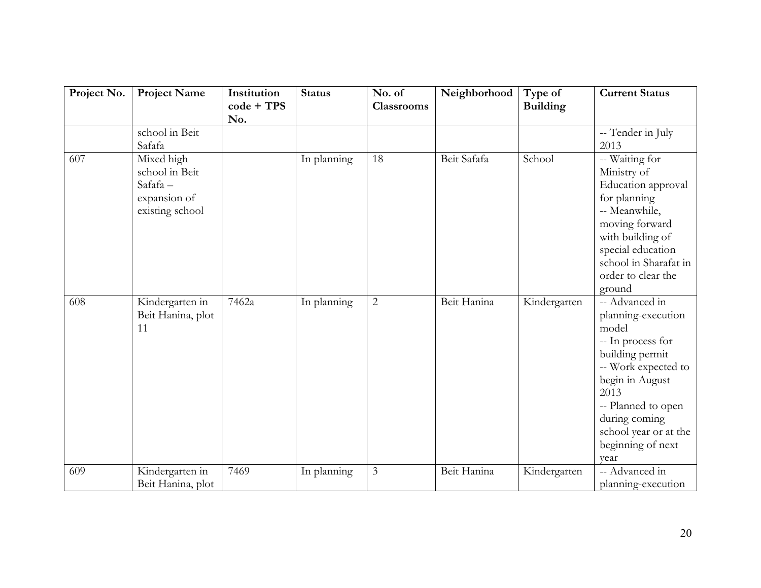| Project No. | <b>Project Name</b>                                                        | Institution<br>$code + TPS$<br>No. | <b>Status</b> | No. of<br><b>Classrooms</b> | Neighborhood | Type of<br><b>Building</b> | <b>Current Status</b>                                                                                                                                                                                                                |
|-------------|----------------------------------------------------------------------------|------------------------------------|---------------|-----------------------------|--------------|----------------------------|--------------------------------------------------------------------------------------------------------------------------------------------------------------------------------------------------------------------------------------|
|             | school in Beit<br>Safafa                                                   |                                    |               |                             |              |                            | -- Tender in July<br>2013                                                                                                                                                                                                            |
| 607         | Mixed high<br>school in Beit<br>Safafa-<br>expansion of<br>existing school |                                    | In planning   | 18                          | Beit Safafa  | School                     | -- Waiting for<br>Ministry of<br>Education approval<br>for planning<br>-- Meanwhile,<br>moving forward<br>with building of<br>special education<br>school in Sharafat in<br>order to clear the<br>ground                             |
| 608         | Kindergarten in<br>Beit Hanina, plot<br>11                                 | 7462a                              | In planning   | $\overline{2}$              | Beit Hanina  | Kindergarten               | -- Advanced in<br>planning-execution<br>model<br>-- In process for<br>building permit<br>-- Work expected to<br>begin in August<br>2013<br>-- Planned to open<br>during coming<br>school year or at the<br>beginning of next<br>year |
| 609         | Kindergarten in<br>Beit Hanina, plot                                       | 7469                               | In planning   | 3                           | Beit Hanina  | Kindergarten               | -- Advanced in<br>planning-execution                                                                                                                                                                                                 |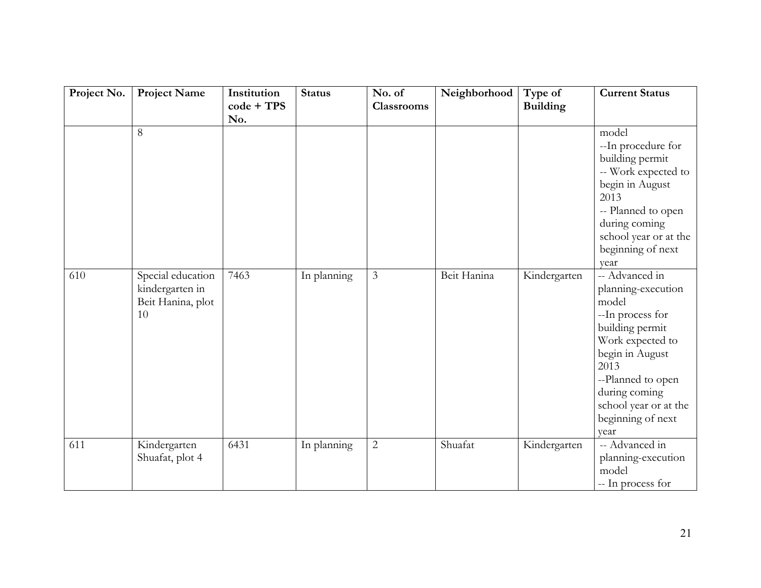| Project No. | Project Name                                                    | Institution<br>$code + TPS$<br>No. | <b>Status</b> | No. of<br><b>Classrooms</b> | Neighborhood | Type of<br><b>Building</b> | <b>Current Status</b>                                                                                                                                                                                                                   |
|-------------|-----------------------------------------------------------------|------------------------------------|---------------|-----------------------------|--------------|----------------------------|-----------------------------------------------------------------------------------------------------------------------------------------------------------------------------------------------------------------------------------------|
|             | 8                                                               |                                    |               |                             |              |                            | model<br>--In procedure for<br>building permit<br>-- Work expected to<br>begin in August<br>2013<br>-- Planned to open<br>during coming<br>school year or at the<br>beginning of next                                                   |
| 610         | Special education<br>kindergarten in<br>Beit Hanina, plot<br>10 | 7463                               | In planning   | $\overline{3}$              | Beit Hanina  | Kindergarten               | year<br>-- Advanced in<br>planning-execution<br>model<br>--In process for<br>building permit<br>Work expected to<br>begin in August<br>2013<br>--Planned to open<br>during coming<br>school year or at the<br>beginning of next<br>year |
| 611         | Kindergarten<br>Shuafat, plot 4                                 | 6431                               | In planning   | $\sqrt{2}$                  | Shuafat      | Kindergarten               | -- Advanced in<br>planning-execution<br>model<br>-- In process for                                                                                                                                                                      |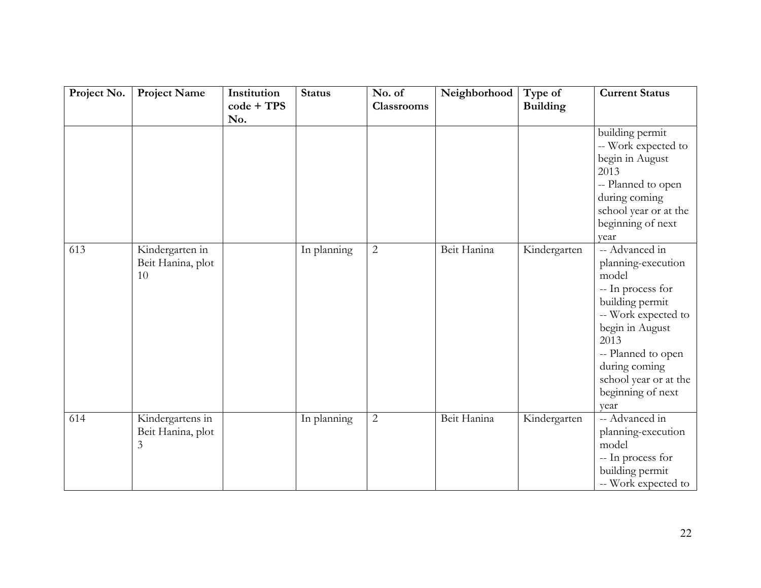| Project No. | Project Name                               | Institution<br>$code + TPS$ | <b>Status</b> | No. of<br><b>Classrooms</b> | Neighborhood | Type of<br><b>Building</b> | <b>Current Status</b>                                                                                                                                                                                                                        |
|-------------|--------------------------------------------|-----------------------------|---------------|-----------------------------|--------------|----------------------------|----------------------------------------------------------------------------------------------------------------------------------------------------------------------------------------------------------------------------------------------|
|             |                                            | No.                         |               |                             |              |                            | building permit<br>-- Work expected to<br>begin in August<br>2013<br>-- Planned to open<br>during coming<br>school year or at the<br>beginning of next                                                                                       |
| 613         | Kindergarten in<br>Beit Hanina, plot<br>10 |                             | In planning   | $\overline{2}$              | Beit Hanina  | Kindergarten               | year<br>-- Advanced in<br>planning-execution<br>model<br>-- In process for<br>building permit<br>-- Work expected to<br>begin in August<br>2013<br>-- Planned to open<br>during coming<br>school year or at the<br>beginning of next<br>vear |
| 614         | Kindergartens in<br>Beit Hanina, plot<br>3 |                             | In planning   | $\overline{2}$              | Beit Hanina  | Kindergarten               | -- Advanced in<br>planning-execution<br>model<br>-- In process for<br>building permit<br>-- Work expected to                                                                                                                                 |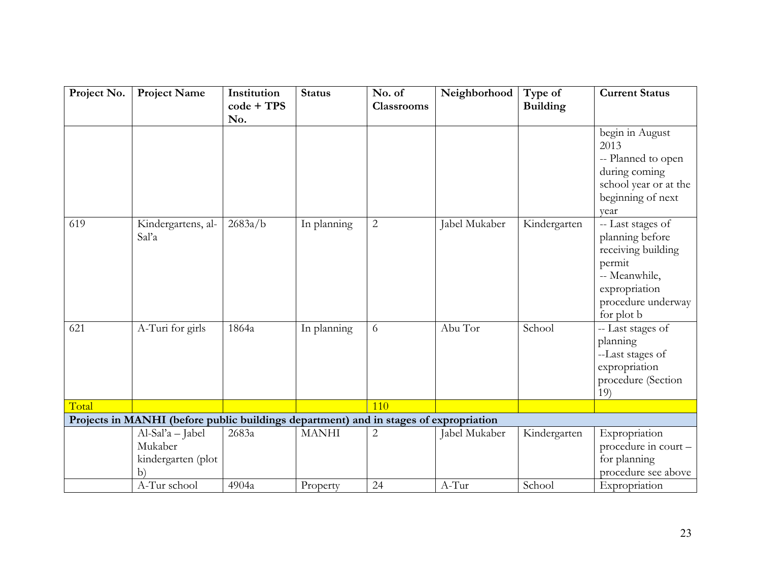| Project No. | <b>Project Name</b>                                                                   | Institution<br>$code + TPS$<br>No. | <b>Status</b> | No. of<br><b>Classrooms</b> | Neighborhood  | Type of<br><b>Building</b> | <b>Current Status</b>                                                                                                                      |
|-------------|---------------------------------------------------------------------------------------|------------------------------------|---------------|-----------------------------|---------------|----------------------------|--------------------------------------------------------------------------------------------------------------------------------------------|
|             |                                                                                       |                                    |               |                             |               |                            | begin in August<br>2013<br>-- Planned to open<br>during coming<br>school year or at the<br>beginning of next<br>vear                       |
| 619         | Kindergartens, al-<br>Sal'a                                                           | 2683a/b                            | In planning   | $\overline{2}$              | Jabel Mukaber | Kindergarten               | -- Last stages of<br>planning before<br>receiving building<br>permit<br>-- Meanwhile,<br>expropriation<br>procedure underway<br>for plot b |
| 621         | A-Turi for girls                                                                      | 1864a                              | In planning   | 6                           | Abu Tor       | School                     | -- Last stages of<br>planning<br>--Last stages of<br>expropriation<br>procedure (Section<br>19)                                            |
| Total       |                                                                                       |                                    |               | 110                         |               |                            |                                                                                                                                            |
|             | Projects in MANHI (before public buildings department) and in stages of expropriation |                                    |               |                             |               |                            |                                                                                                                                            |
|             | Al-Sal'a - Jabel<br>Mukaber<br>kindergarten (plot<br>b)                               | 2683a                              | <b>MANHI</b>  | $\overline{2}$              | Jabel Mukaber | Kindergarten               | Expropriation<br>procedure in court -<br>for planning<br>procedure see above                                                               |
|             | A-Tur school                                                                          | 4904a                              | Property      | 24                          | $A-Tur$       | School                     | Expropriation                                                                                                                              |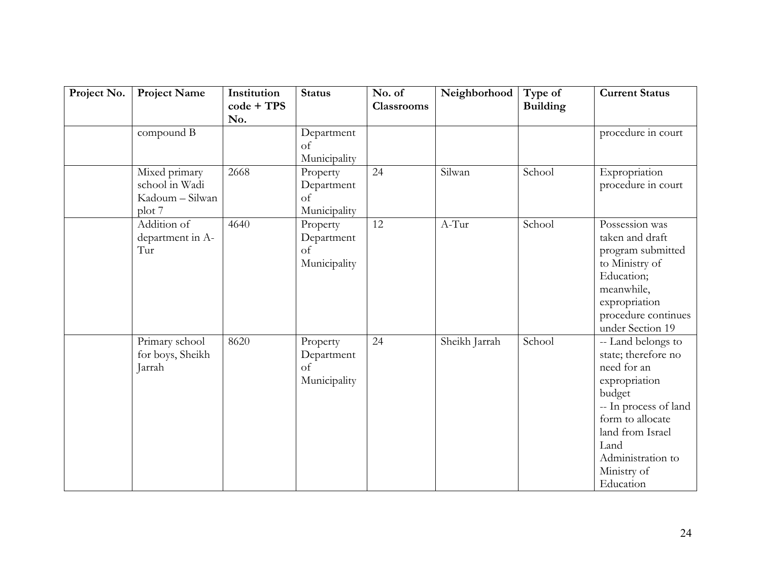| Project No. | <b>Project Name</b>                                          | Institution<br>$code + TPS$<br>No. | <b>Status</b>                                | No. of<br><b>Classrooms</b> | Neighborhood  | Type of<br><b>Building</b> | <b>Current Status</b>                                                                                                                                                                                         |
|-------------|--------------------------------------------------------------|------------------------------------|----------------------------------------------|-----------------------------|---------------|----------------------------|---------------------------------------------------------------------------------------------------------------------------------------------------------------------------------------------------------------|
|             | compound B                                                   |                                    | Department<br>of<br>Municipality             |                             |               |                            | procedure in court                                                                                                                                                                                            |
|             | Mixed primary<br>school in Wadi<br>Kadoum - Silwan<br>plot 7 | 2668                               | Property<br>Department<br>of<br>Municipality | 24                          | Silwan        | School                     | Expropriation<br>procedure in court                                                                                                                                                                           |
|             | Addition of<br>department in A-<br>Tur                       | 4640                               | Property<br>Department<br>of<br>Municipality | 12                          | A-Tur         | School                     | Possession was<br>taken and draft<br>program submitted<br>to Ministry of<br>Education;<br>meanwhile,<br>expropriation<br>procedure continues<br>under Section 19                                              |
|             | Primary school<br>for boys, Sheikh<br>Jarrah                 | 8620                               | Property<br>Department<br>of<br>Municipality | 24                          | Sheikh Jarrah | School                     | -- Land belongs to<br>state; therefore no<br>need for an<br>expropriation<br>budget<br>-- In process of land<br>form to allocate<br>land from Israel<br>Land<br>Administration to<br>Ministry of<br>Education |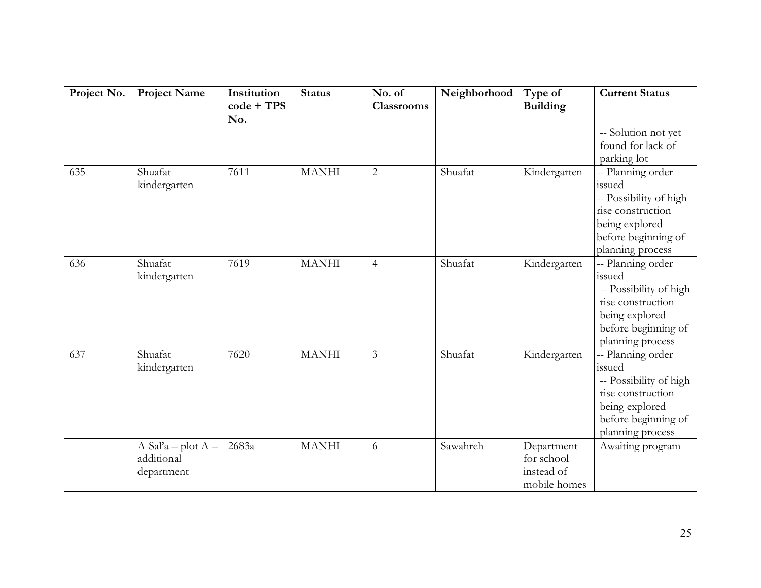| Project No. | <b>Project Name</b>                              | Institution<br>$code + TPS$<br>No. | <b>Status</b> | No. of<br><b>Classrooms</b> | Neighborhood | Type of<br><b>Building</b>                             | <b>Current Status</b>                                                                                                                   |
|-------------|--------------------------------------------------|------------------------------------|---------------|-----------------------------|--------------|--------------------------------------------------------|-----------------------------------------------------------------------------------------------------------------------------------------|
|             |                                                  |                                    |               |                             |              |                                                        | -- Solution not yet<br>found for lack of<br>parking lot                                                                                 |
| 635         | Shuafat<br>kindergarten                          | 7611                               | <b>MANHI</b>  | $\overline{2}$              | Shuafat      | Kindergarten                                           | -- Planning order<br>issued<br>-- Possibility of high<br>rise construction<br>being explored<br>before beginning of<br>planning process |
| 636         | Shuafat<br>kindergarten                          | 7619                               | <b>MANHI</b>  | $\overline{4}$              | Shuafat      | Kindergarten                                           | -- Planning order<br>issued<br>-- Possibility of high<br>rise construction<br>being explored<br>before beginning of<br>planning process |
| 637         | Shuafat<br>kindergarten                          | 7620                               | <b>MANHI</b>  | $\mathfrak{Z}$              | Shuafat      | Kindergarten                                           | -- Planning order<br>issued<br>-- Possibility of high<br>rise construction<br>being explored<br>before beginning of<br>planning process |
|             | $A-Sal'a - plot A -$<br>additional<br>department | 2683a                              | <b>MANHI</b>  | 6                           | Sawahreh     | Department<br>for school<br>instead of<br>mobile homes | Awaiting program                                                                                                                        |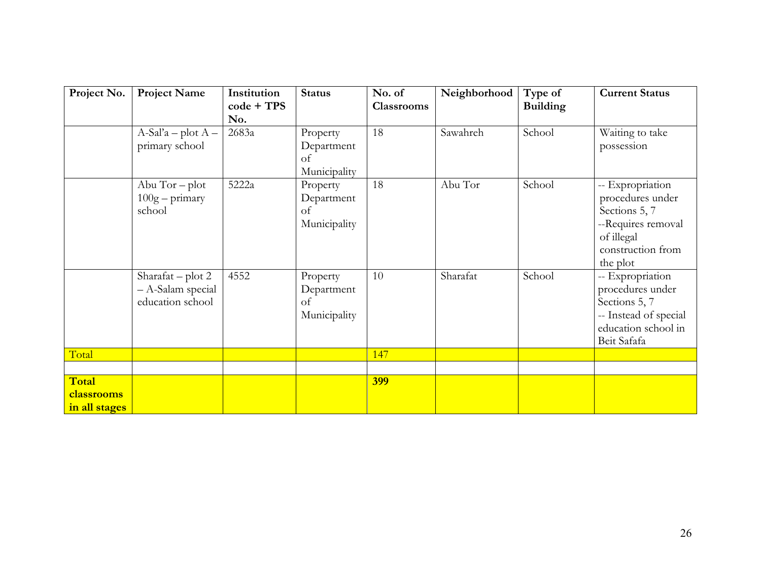| Project No.                          | <b>Project Name</b>                                          | Institution<br>$code + TPS$<br>No. | <b>Status</b>                                | No. of<br><b>Classrooms</b> | Neighborhood | Type of<br><b>Building</b> | <b>Current Status</b>                                                                                                      |
|--------------------------------------|--------------------------------------------------------------|------------------------------------|----------------------------------------------|-----------------------------|--------------|----------------------------|----------------------------------------------------------------------------------------------------------------------------|
|                                      | $A-Sal'a - plot A -$<br>primary school                       | 2683a                              | Property<br>Department<br>of<br>Municipality | 18                          | Sawahreh     | School                     | Waiting to take<br>possession                                                                                              |
|                                      | Abu $Tor - plot$<br>$100g$ – primary<br>school               | 5222a                              | Property<br>Department<br>of<br>Municipality | 18                          | Abu Tor      | School                     | -- Expropriation<br>procedures under<br>Sections 5, 7<br>--Requires removal<br>of illegal<br>construction from<br>the plot |
|                                      | Sharafat – plot $2$<br>- A-Salam special<br>education school | 4552                               | Property<br>Department<br>of<br>Municipality | 10                          | Sharafat     | School                     | -- Expropriation<br>procedures under<br>Sections 5, 7<br>-- Instead of special<br>education school in<br>Beit Safafa       |
| Total                                |                                                              |                                    |                                              | 147                         |              |                            |                                                                                                                            |
| Total<br>classrooms<br>in all stages |                                                              |                                    |                                              | <b>399</b>                  |              |                            |                                                                                                                            |